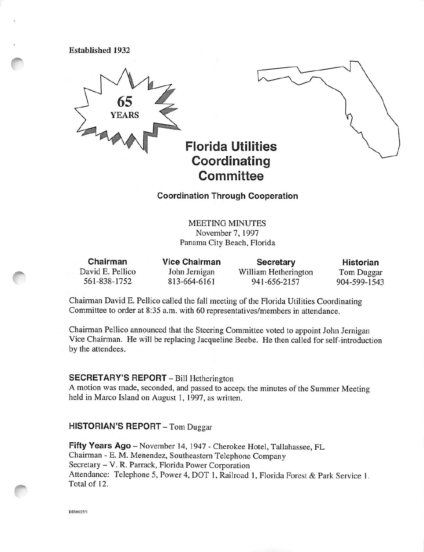Established 1932



Coordination Through Cooperation

MEETING MINUTES November?, 1997 Panama City Beach, Florida

Chairman David E. Pellico 561-838-1752

Vice Chairman John Jernigan 813-664-6161

**Secretary** William Hetherington 941-656-2157

Historian Tom Duggar 904-599-1543

Chairman David E. Pellico called the fall meeting of the Florida Utilities Coordinating Committee to order at 8:35 a.m. with 60 representatives/members in attendance.

Chairman Pellico announced that the Steering Committee voted to appoint John Jernigan Vice Chairman. He will be replacing Jacqueline Beebe. He then called for self-introduction by the attendees.

## SECRETARY'S REPORT - Bill Hetherington

A motion was made, seconded, and passed to accept the minutes of the Summer Meeting held in Marco Island on August 1, 1997, as written.

#### HISTORIAN'S REPORT - Tom Duggar

Fifty Years Ago - November 14, 1947 - Cherokee Hotel, Tallahassee, FL Chairman - E. M. Menendez, Southeastern Telephone Company Secretary - V. R. Parrack, Florida Power Corporation Attendance: Telephone 5, Power 4, DOT 1, Railroad 1, Florida Forest & Park Service 1, Total of 12.

DIR0025/1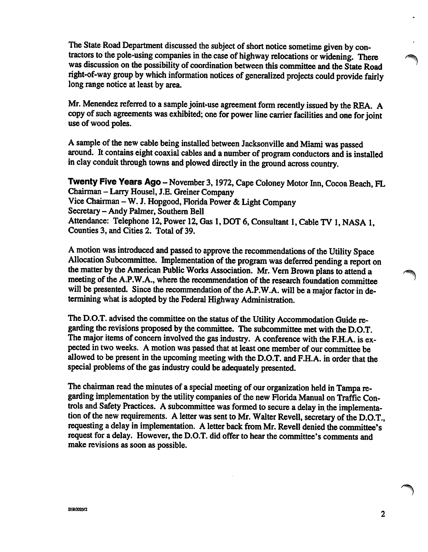The State Road Department discussed the subject of short notice sometime given by con tractors to the pole-using companies in the case of highway relocations or widening. There was discussion on the possibility of coordination between this committee and the State Road right-of-way group by which information notices of generalized projects could provide fairly long range notice at least by area.

Mr. Menendez referred to a sample joint-use agreement form recently issued by the REA. A copy of such agreements was exhibited; one for power line carrier facilities and one for joint use of wood poles.

A sample of the new cable being installed between Jacksonville and Miami was passed around. It contains eight coaxial cables and a number of program conductors and is installed in clay conduit through towns and plowed directly in the ground across country.

Twenty Five Years Ago - November 3, 1972, Cape Coloney Motor Inn, Cocoa Beach, FL Chairman - Larry Housel, I.E. Greiner Company Vice Chairman—W. J. Hopgood, Florida Power & Light Company Secretary - Andy Palmer, Southern Bell Attendance: Telephone 12, Power 12, Gas 1, DOT 6, Consultant 1, Cable TV 1, NASA 1, Counties 3, and Cities 2. Total of 39.

A motion was introduced and passed to approve the recommendations of the Utility Space Allocation Subcommittee. Implementation of the program was deferred pending a report on the matter by the American Public Works Association. Mr. Vem Brown plans to attend a meeting of the A.P.W.A., where the recommendation of the research foundation committee will be presented. Since the recommendation of the A.P.W.A. will be a major factor in determining what is adopted by the Federal Highway Administration.

The D.O.T. advised the committee on the status of the Utility Accommodation Guide re garding the revisions proposed by the committee. The subcommittee met with the D.O.T. The major items of concern involved the gas industry. A conference with the F.H.A. is ex pected in two weeks. A motion was passed that at least one member of our committee be allowed to be present in the upcoming meeting with the D.O.T. and F.H.A. in order that the special problems of the gas industry could be adequately presented.

The chairman read the minutes of a special meeting of our organization held in Tampa re garding implementation by the utility companies of the new Florida Manual on Traffic Con trols and Safety Practices. A subcommittee was formed to secure a delay in, the implementa tion of the new requirements. A letter was sent to Mr. Walter Revell, secretary of the D.O.T., requesting a delay in implementation. A letter back from Mr. Revell denied the committee's request for a delay. However, the D.O.T. did offer to hear the committee's comments and make revisions as soon as possible.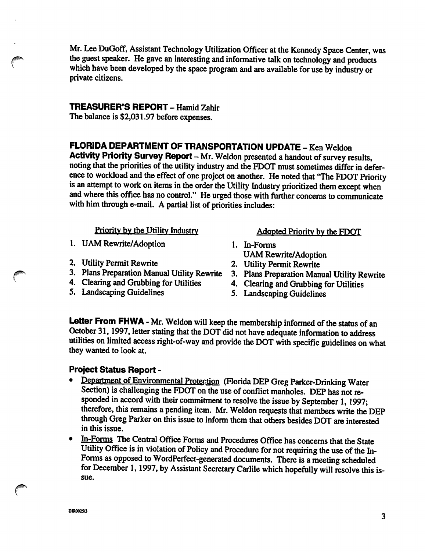Mr. Lee DuGoff, Assistant Technology Utilization Officer at the Kennedy Space Center, was the guest speaker. He gave an interesting and informative talk on technology and products which have been developed by the space program and are available for use by industry or private citizens.

## TREASURER'S REPORT - Hamid Zahir

The balance is \$2,031.97 before expenses.

## FLORIDA DEPARTMENT OF TRANSPORTATION UPDATE - Ken Weldon

Activity Priority Survey Report — Mr. Weldon presented a handout of survey results, noting that the priorities of the utility industry and the FDOT must sometimes differ in defer ence to workload and the effect of one project on another. He noted that "The FDOT Priority is an attempt to work on items in the order the Utility Industry prioritized them except when and where this office has no control." He urged those with further concerns to conununicate with him through e-mail. A partial list of priorities includes:

- 1. UAM Rewrite/Adoption 1. In-Forms
- 
- 2. Utility Permit Rewrite<br>
2. Utility Permit Rewrite<br>
3. Plans Preparation Manual Utility Rewrite<br>
2. Plans Preparation Manual Utility Rewrite<br>
3. Plans Preparation Manual
- 4. Clearing and Grubbing for Utilities 4. Clearing and Grubbing for Utilities
- 5. Landscaping Guidelines 5. Landscaping Guidelines

## Priority by the Utility Industry **Adopted Priority by the FDOT**

- UAM Rewrite/Adoption
- 
- 3. Plans Preparation Manual Utility Rewrite
- 
- 

Letter From FHWA - Mr. Weldon will keep the membership informed of the status of an October 31,1997, letter stating that the DOT did not have adequate information to address utilities on limited access right-of-way and provide the DOT with specific guidelines on what they wanted to look at.

## Project Status Report -

- Department of Environmental Protection (Florida DEP Greg Parker-Drinking Water Section) is challenging the FDOT on the use of conflict manholes. DEP has not responded in accord with their commitment to resolve the issue by September 1,1997; therefore, this remains a pending item. Mr. Weldon requests that members write the DEP through Greg Parker on this issue to inform them that others besides DOT are interested in this issue.
- In-Forms The Central Office Forms and Procedures Office has concerns that the State Utility Office is in violation of Policy and Procedure for not requiring the use of the In-Forms as opposed to WordPerfect-generated documents. There is a meeting scheduled for December 1, 1997, by Assistant Secretary Carlile which hopefully will resolve this issue.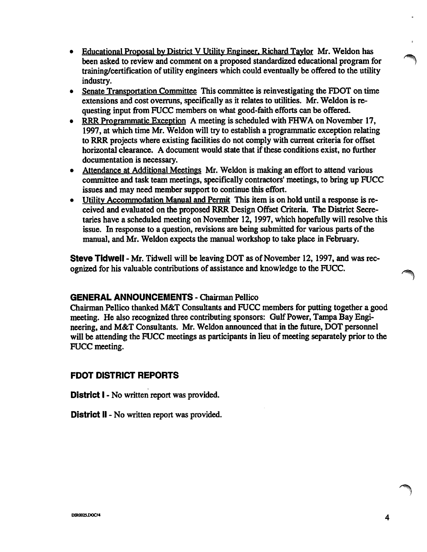- Educational Proposal by District V Utility Engineer, Richard Taylor Mr. Weldon has been asked to review and comment on a proposed standardized educational program for training/certification of utility engineers which could eventually be offered to the utility industry.
- Senate Transportation Committee This committee is reinvestigating the FDOT on time extensions and cost overruns, specifically as it relates to utilities. Mr. Weldon is re questing input from FUCC members on what good-faith efforts can be offered.
- RRR Programmatic Exception A meeting is scheduled with FHWA on November 17, 1997, at which time Mr. Weldon will try to establish a programmatic exception relating to RRR projects where existing facilities do not comply with current criteria for offset horizontal clearance. A document would state that if these conditions exist, no further documentation is necessary.
- Attendance at Additional Meetings Mr. Weldon is making an effort to attend various committee and task team meetings, specifically contractors' meetings, to bring up FUCC issues and may need member support to continue this effort.
- Utility Accommodation Manual and Permit This item is on hold until a response is received and evaluated on the proposed RRR Design Offset Criteria. The District Secre taries have a scheduled meeting on November 12,1997, which hopefully will resolve this issue. In response to a question, revisions are being submitted for various parts of the manual, and Mr. Weldon expects the manual workshop to take place in February.

Steve Tidwell - Mr. Tidwell will be leaving DOT as of November 12,1997, and was rec ognized for his valuable contributions of assistance and knowledge to the FUCC.

### GENERAL ANNOUNCEMENTS - Chairman Pellico

Chairman Pellico thanked M&T Consultants and FUCC members for putting together a good meeting. He also recognized three contributing sponsors: Gulf Power, Tampa Bay Engi neering, and M&T Consultants. Mr. Weldon announced that in the future, DOT personnel will be attending the FUCC meetings as participants in lieu of meeting separately prior to the FUCC meeting.

### FDOT DISTRICT REPORTS

District 1 - No written report was provided.

District II - No written report was provided.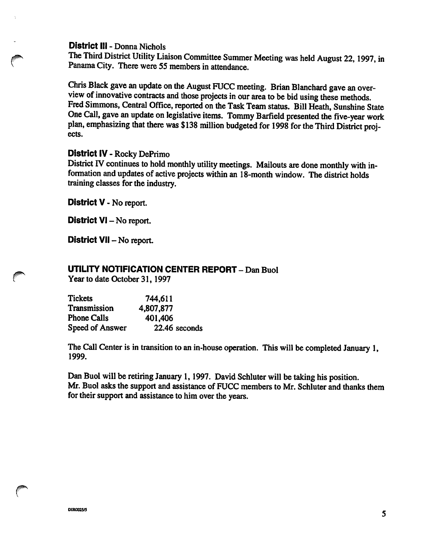#### District ill - Donna Nichols

The Third District Utility Liaison Committee Summer Meeting was held August 22,1997, in Panama City. There were 55 members in attendance.

Chris Black gave an update on the August FUCC meeting. Brian Blanchard gave an over view of innovative contracts and those projects in our area to be bid using these methods. Fred Simmons, Central Office, reported on the Task Team status. Bill Heath, Sunshine State One Call, gave an update on legislative items. Tommy Barfield presented the five-year work plan, emphasizing that there was \$138 million budgeted for 1998 for the Third District proj ects.

#### District IV - Rocky DePrimo

District IV continues to hold monthly utility meetings. Mailouts are done monthly with in formation and updates of active projects within an 18-month window. The district holds training classes for the industry.

District V - No report.

District VI - No report.

District VII - No report.

## UTILITY NOTIFICATION CENTER REPORT - Dan Buol

Year to date October 31,1997

| <b>Tickets</b>      | 744,611       |
|---------------------|---------------|
| <b>Transmission</b> | 4,807,877     |
| <b>Phone Calls</b>  | 401,406       |
| Speed of Answer     | 22.46 seconds |

The Call Center is in transition to an in-house operation. This will be completed January 1, 1999.

Dan Buol will be retiring January 1,1997. David Schluter will be taking his position. Mr. Buol asks the support and assistance of FUCC members to Mr. Schluter and thanks them for their support and assistance to him over the years.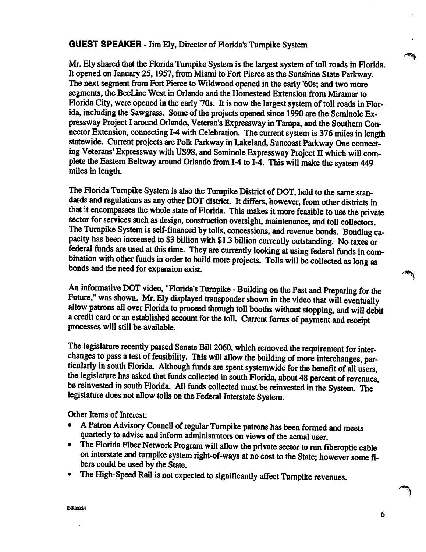#### GUEST SPEAKER - Jim Ely, Director of Florida's Turnpike System

Mr. Ely shared that the Rorida Turnpike System is the largest system of toll roads in Rorida. It opened on January 25,1957, from Miami to Fort Pierce as the Sunshine State Parkway. The next segment from Fort Pierce to Wildwood opened in the early '60s; and two more segments, the BeeLine West in Orlando and the Homestead Extension from Miramar to Florida City, were opened in the early '70s. It is now the largest system of toll roads in Florida, including the Sawgrass. Some of the projects opened since 1990 are the Seminole Ex pressway Project I around Orlando, Veteran's Expressway in Tampa, and the Southern Con nector Extension, connecting 1-4 with Celebration. The current system is 376 miles in length statewide. Current projects are Polk Parkway in Lakeland, Suncoast Parkway One connect ing Veterans' Expressway with US98, and Seminole Expressway Project II which will complete the Eastem Beltway around Orlando from 1-4 to 1-4. This will make the system 449 miles in length.

The Florida Turnpike System is also the Turnpike District of DOT, held to the same standards and regulations as any other DOT district. It differs, however, from other districts in that it encompasses the whole state of Rorida. This makes it more feasible to use the private sector for services such as design, construction oversight, maintenance, and toll collectors. The Tumpike System is self-financed by tolls, concessions, and revenue bonds. Bonding ca pacity has been increased to \$3 billion with \$1.3 billion currently outstanding. No taxes or federal funds are used at this time. They are currently looking at using federal funds in combination with other funds in order to build more projects. Tolls will be collected as long as bonds and the need for expansion exist.

An informative DOT video, "Florida's Turnpike - Building on the Past and Preparing for the Future," was shown. Mr. Ely displayed transponder shown in the video that will eventually allow patrons all over Florida to proceed through toll booths without stopping, and will debit a credit card or an established account for the toll. Current forms of payment and receipt processes will still be available.

The legislature recently passed Senate Bill 2060, which removed the requirement for inter changes to pass a test of feasibility. This will allow the building of more interchanges, par ticularly in south Rorida. Although funds are spent systemwide for the benefit of all users, the legislature has asked that funds collected in south Florida, about 48 percent of revenues, be reinvested in south Rorida. All funds collected must be reinvested in the System. The legislature does not allow tolls on the Federal Interstate System.

Other Items of Interest:

- A Patron Advisory Council of regular Tumpike patrons has been formed and meets quarterly to advise and inform administrators on views of the actual user.
- The Florida Fiber Network Program will allow the private sector to run fiberoptic cable on interstate and tumpike system right-of-ways at no cost to the State; however some fi bers could be used by the State.
- The High-Speed Rail is not expected to significantly affect Tumpike revenues.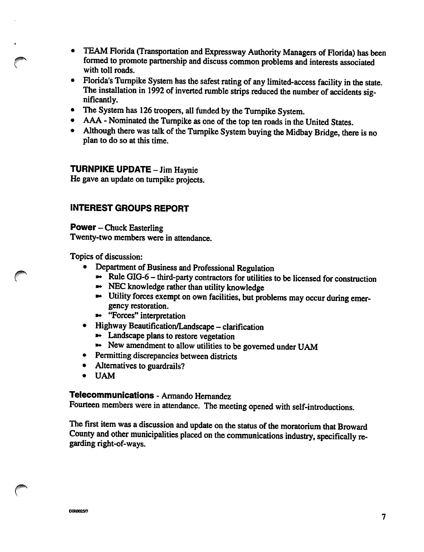- TEAM Florida (Transportation and Expressway Authority Managers of Florida) has been  $\bullet$ formed to promote partnership and discuss common problems and interests associated with toll roads.
- Florida's Turnpike System has the safest rating of any limited-access facility in the state.  $\bullet$ The installation in 1992 of inverted rumble strips reduced the number of accidents significantly.
- The System has 126 troopers, all funded by the Turnpike System,  $\bullet$
- AAA Nominated the Turnpike as one of the top ten roads in the United States.
- Although there was talk of the Turnpike System buying the Midbay Bridge, there is no  $\bullet$ plan to do so at this time.

## **TURNPIKE UPDATE - Jim Haynie**

He gave an update on turnpike projects.

## INTEREST GROUPS REPORT

Power - Chuck Easterling Twenty-two members were in attendance.

Topics of discussion:

- Department of Business and Professional Regulation
	- $\rightarrow \left\lceil \text{Rule GIG-6} \text{third-party contracts} \right\rceil$  for utilities to be licensed for construction
	- NEC knowledge rather than utility knowledge
	- »• Utility forces exempt on own facilities, but problems may occur during emer gency restoration.
	- »• "Forces" interpretation
- Highway Beautification/Landscape clarification
	- Landscape plans to restore vegetation
	- New amendment to allow utilities to be governed under UAM
- Permitting discrepancies between districts
- Alternatives to guardrails?
- UAM

## Telecommunications - Armando Hernandez

Fourteen members were in attendance. The meeting opened with self-introductions.

The first item was a discussion and update on the status of the moratorium that Broward County and other municipalities placed on the communications industry, specifically re garding right-of-ways.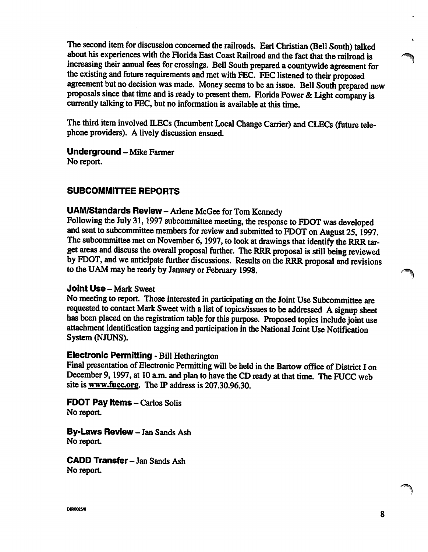The second item for discussion concerned the railroads. Earl Christian (Bell South) talked about his experiences with the Florida East Coast Railroad and the fact that the railroad is increasing their annual fees for crossings. Bell South prepared a countywide agreement for the existing and future requirements and met with EEC. EEC listened to their proposed agreement but no decision was made. Money seems to be an issue. Bell South prepared new proposals since that time and is ready to present them. Florida Power & Light company is currently talking to EEC, but no information is available at this time.

The third item involved ILECs (Incumbent Local Change Carrier) and CLECs (future tele phone providers). A lively discussion ensued.

Underground - Mike Farmer

No report.

## SUBCOMMITTEE REPORTS

#### UAM/Standards Review - Arlene McGee for Tom Kennedy

Following the July 31,1997 subcommittee meeting, the response to FDOT was developed and sent to subcommittee members for review and submitted to FDOT on August 25,1997. The subcommittee met on November 6, 1997, to look at drawings that identify the RRR target areas and discuss the overall proposal further. The RRR proposal is still being reviewed by FDOT, and we anticipate further discussions. Results on the RRR proposal and revisions to the UAM may be ready by January or February 1998.

#### Joint Use - Mark Sweet

No meeting to report. Those interested in participating on the Joint Use Subcommittee are requested to contact Mark Sweet with a list of topics/issues to be addressed A signup sheet has been placed on the registration table for this purpose. Proposed topics include joint use attachment identification tagging and participation in the National Joint Use Notification System (NJUNS).

#### Electronic Permitting - Bill Hetherington

Final presentation of Electronic Permitting will be held in the Bartow office of District I on December 9, 1997, at 10 a.m. and plan to have the CD ready at that time. The FUCC web site is www.fucc.org. The IP address is 207.30.96.30.

**FDOT Pay Items - Carlos Solis** No report.

By-Laws Review - Jan Sands Ash No report.

CADD Transfer - Jan Sands Ash No report.

DIROO25/8